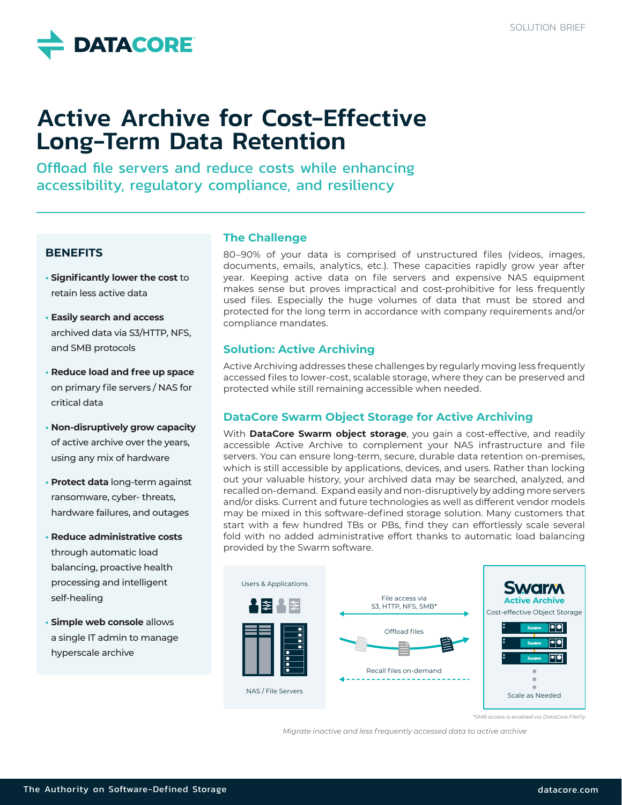

# Active Archive for Cost-Effective Long-Term Data Retention

Offload file servers and reduce costs while enhancing accessibility, regulatory compliance, and resiliency

### **BENEFITS**

- **• Significantly lower the cost** to retain less active data
- **• Easily search and access**  archived data via S3/HTTP, NFS, and SMB protocols
- **• Reduce load and free up space**  on primary file servers / NAS for critical data
- **• Non-disruptively grow capacity** of active archive over the years, using any mix of hardware
- **• Protect data** long-term against ransomware, cyber- threats, hardware failures, and outages
- **• Reduce administrative costs**  through automatic load balancing, proactive health processing and intelligent self-healing
- **• Simple web console** allows a single IT admin to manage hyperscale archive

# **The Challenge**

80–90% of your data is comprised of unstructured files (videos, images, documents, emails, analytics, etc.). These capacities rapidly grow year after year. Keeping active data on file servers and expensive NAS equipment makes sense but proves impractical and cost-prohibitive for less frequently used files. Especially the huge volumes of data that must be stored and protected for the long term in accordance with company requirements and/or compliance mandates.

# **Solution: Active Archiving**

Active Archiving addresses these challenges by regularly moving less frequently accessed files to lower-cost, scalable storage, where they can be preserved and protected while still remaining accessible when needed.

# **DataCore Swarm Object Storage for Active Archiving**

With **DataCore Swarm object storage**, you gain a cost-effective, and readily accessible Active Archive to complement your NAS infrastructure and file servers. You can ensure long-term, secure, durable data retention on-premises, which is still accessible by applications, devices, and users. Rather than locking out your valuable history, your archived data may be searched, analyzed, and recalled on-demand. Expand easily and non-disruptively by adding more servers and/or disks. Current and future technologies as well as different vendor models may be mixed in this software-defined storage solution. Many customers that start with a few hundred TBs or PBs, find they can effortlessly scale several fold with no added administrative effort thanks to automatic load balancing provided by the Swarm software.



*\*SMB access is enabled via DataCore FileFly*

*Migrate inactive and less frequently accessed data to active archive*